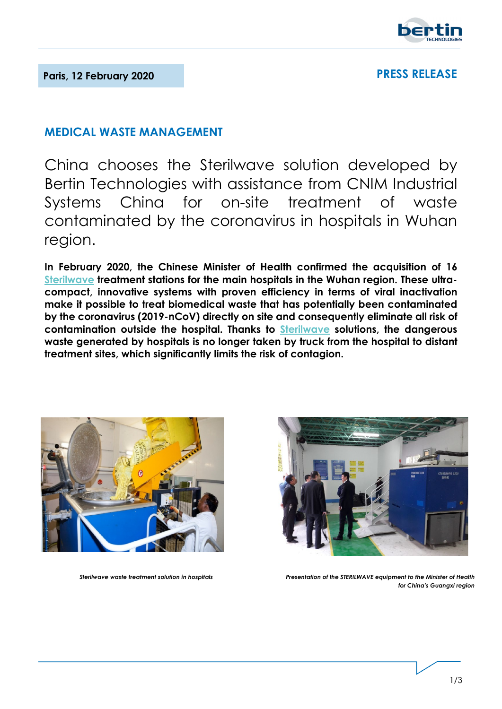

# **PRESS RELEASE**

# **MEDICAL WASTE MANAGEMENT**

China chooses the Sterilwave solution developed by [Bertin Technologies](https://bertin-technologies.com/) with assistance from CNIM Industrial Systems China for on-site treatment of waste contaminated by the coronavirus in hospitals in Wuhan region.

**In February 2020, the Chinese Minister of Health confirmed the acquisition of 16 [Sterilwave](https://www.bertin-medical-waste.com/products-range/biomedical-waste-management/) treatment stations for the main hospitals in the Wuhan region. These ultracompact, innovative systems with proven efficiency in terms of viral inactivation make it possible to treat biomedical waste that has potentially been contaminated by the coronavirus (2019-nCoV) directly on site and consequently eliminate all risk of contamination outside the hospital. Thanks to [Sterilwave](https://www.youtube.com/watch?v=YDuCpux3xD8) solutions, the dangerous waste generated by hospitals is no longer taken by truck from the hospital to distant treatment sites, which significantly limits the risk of contagion.** 





*Sterilwave waste treatment solution in hospitals Presentation of the STERILWAVE equipment to the Minister of Health for China's Guangxi region*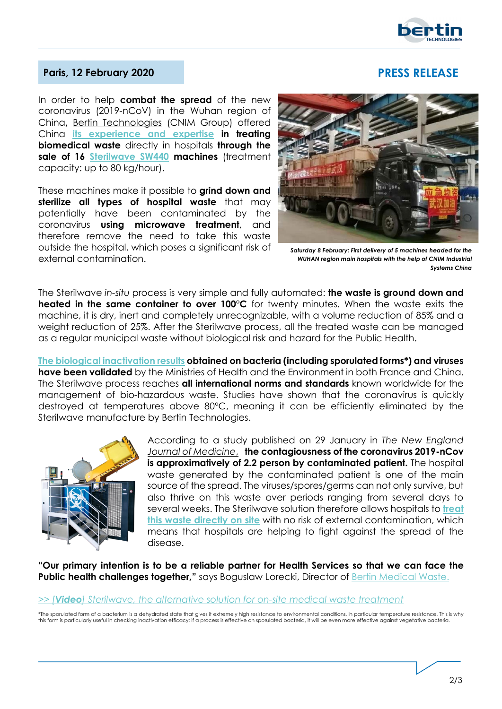

## **Paris, 12 February 2020 PRESS RELEASE**

In order to help **combat the spread** of the new coronavirus (2019-nCoV) in the Wuhan region of China**,** [Bertin Technologies](https://bertin-technologies.com/) (CNIM Group) offered China **[its experience and expertise](https://www.bertin-medical-waste.com/) in treating biomedical waste** directly in hospitals **through the sale of 16 [Sterilwave SW440](https://www.bertin-medical-waste.com/products/biohazardous-waste-management-systems/sterilwave-440/) machines** (treatment

capacity: up to 80 kg/hour).

These machines make it possible to **grind down and sterilize all types of hospital waste** that may potentially have been contaminated by the coronavirus **using microwave treatment**, and therefore remove the need to take this waste outside the hospital, which poses a significant risk of external contamination.



*Saturday 8 February: First delivery of 5 machines headed for the WUHAN region main hospitals with the help of CNIM Industrial Systems China*

The Sterilwave *in-situ* process is very simple and fully automated: **the waste is ground down and heated in the same container to over 100°C** for twenty minutes. When the waste exits the machine, it is dry, inert and completely unrecognizable, with a volume reduction of 85% and a weight reduction of 25%. After the Sterilwave process, all the treated waste can be managed as a regular municipal waste without biological risk and hazard for the Public Health.

**[The biological inactivation results](https://www.bertin-medical-waste.com/expertise/microbial-inactivation-microwave-radiation/) obtained on bacteria (including sporulated forms\*) and viruses have been validated** by the Ministries of Health and the Environment in both France and China. The Sterilwave process reaches **all international norms and standards** known worldwide for the management of bio-hazardous waste. Studies have shown that the coronavirus is quickly destroyed at temperatures above 80°C, meaning it can be efficiently eliminated by the Sterilwave manufacture by Bertin Technologies.



According to [a study published on 29 January in](https://www.nejm.org/doi/full/10.1056/NEJMoa2001316?query=featured_home) *The New England [Journal of Medicine](https://www.nejm.org/doi/full/10.1056/NEJMoa2001316?query=featured_home)*, **the contagiousness of the coronavirus 2019-nCov is approximatively of 2.2 person by contaminated patient.** The hospital waste generated by the contaminated patient is one of the main source of the spread. The viruses/spores/germs can not only survive, but also thrive on this waste over periods ranging from several days to several weeks. The Sterilwave solution therefore allows hospitals to **[treat](https://www.bertin-medical-waste.com/expertise/optimisation-hospital-waste-systems/)  [this waste directly on site](https://www.bertin-medical-waste.com/expertise/optimisation-hospital-waste-systems/)** with no risk of external contamination, which means that hospitals are helping to fight against the spread of the disease.

**"Our primary intention is to be a reliable partner for Health Services so that we can face the Public health challenges together,"** says Boguslaw Lorecki, Director of [Bertin Medical Waste.](https://www.bertin-medical-waste.com/)

### *>> [Video[\] Sterilwave, the alternative solution for on-site medical waste treatment](https://www.youtube.com/watch?v=YDuCpux3xD8)*

*\**The sporulated form of a bacterium is a dehydrated state that gives it extremely high resistance to environmental conditions, in particular temperature resistance. This is why this form is particularly useful in checking inactivation efficacy: if a process is effective on sporulated bacteria, it will be even more effective against vegetative bacteria.